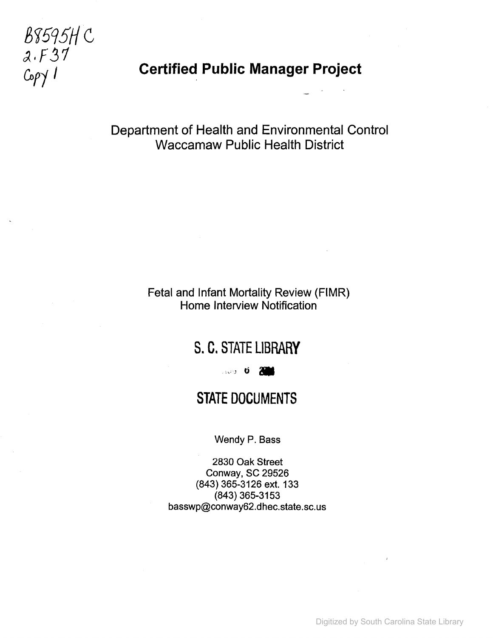# B8595H C  $2.137$

## **Coffrager Certified Public Manager Project**

## Department of Health and Environmental Control Waccamaw Public Health District

## Fetal and Infant Mortality Review (FIMR) Home Interview Notification

## S. C. STATE LIBRARY

...... 0 800

## STATE DOCUMENTS

Wendy P. Bass

2830 Oak Street Conway, SC 29526 (843) 365-3126 ext. 133 (843) 365-3153 basswp@conway62.dhec.state.sc.us

Digitized by South Carolina State Library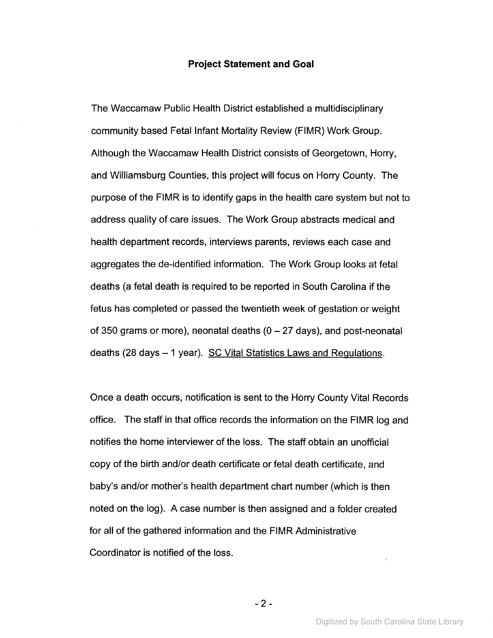#### **Project Statement and Goal**

The Waccamaw Public Health District established a multidisciplinary community based Fetal Infant Mortality Review (FIMR) Work Group. Although the Waccamaw Health District consists of Georgetown, Horry, and Williamsburg Counties, this project will focus on Horry County. The purpose of the FIMR is to identify gaps in the health care system but not to address quality of care issues. The Work Group abstracts medical and health department records, interviews parents, reviews each case and aggregates the de-identified information. The Work Group looks at fetal deaths (a fetal death is required to be reported in South Carolina if the fetus has completed or passed the twentieth week of gestation or weight of 350 grams or more), neonatal deaths  $(0 - 27$  days), and post-neonatal deaths (28 days  $-1$  year). SC Vital Statistics Laws and Regulations.

Once a death occurs, notification is sent to the Horry County Vital Records office. The staff in that office records the information on the FIMR log and notifies the home interviewer of the loss. The staff obtain an unofficial copy of the birth and/or death certificate or fetal death certificate, and baby's and/or mother's health department chart number (which is then noted on the log). A case number is then assigned and a folder created for all of the gathered information and the FIMR Administrative Coordinator is notified of the loss.

- 2 -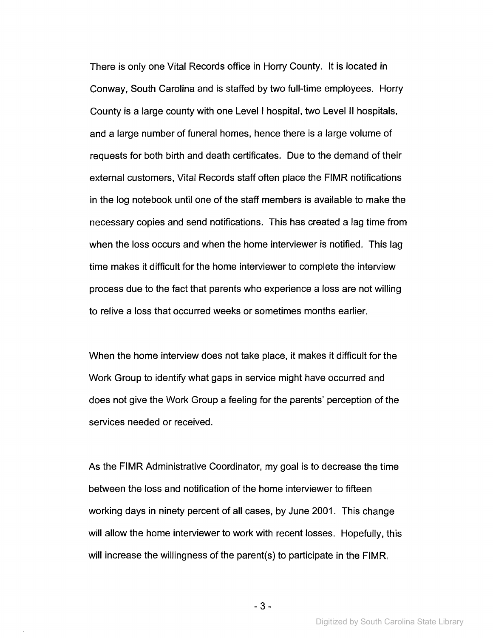There is only one Vital Records office in Horry County. It is located in Conway, South Carolina and is staffed by two full-time employees. Horry County is a large county with one Level I hospital, two Level II hospitals, and a large number of funeral homes, hence there is a large volume of requests for both birth and death certificates. Due to the demand of their external customers, Vital Records staff often place the FIMR notifications in the log notebook until one of the staff members is available to make the necessary copies and send notifications. This has created a lag time from when the loss occurs and when the home interviewer is notified. This lag time makes it difficult for the home interviewer to complete the interview process due to the fact that parents who experience a loss are not willing to relive a loss that occurred weeks or sometimes months earlier.

When the home interview does not take place, it makes it difficult for the Work Group to identify what gaps in service might have occurred and does not give the Work Group a feeling for the parents' perception of the services needed or received.

As the FIMR Administrative Coordinator, my goal is to decrease the time between the loss and notification of the home interviewer to fifteen working days in ninety percent of all cases, by June 2001. This change will allow the home interviewer to work with recent losses. Hopefully, this will increase the willingness of the parent(s) to participate in the FIMR.

- 3 -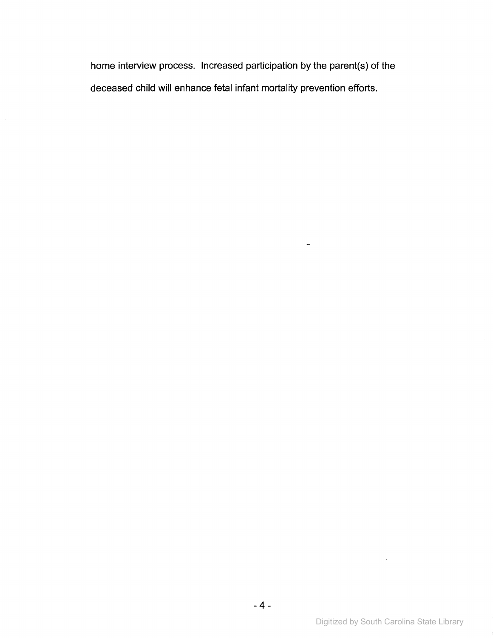home interview process. Increased participation by the parent(s) of the deceased child will enhance fetal infant mortality prevention efforts.

 $\frac{1}{2}$ 

 $\sim$ 

 $\mathcal{A}^{\pm}$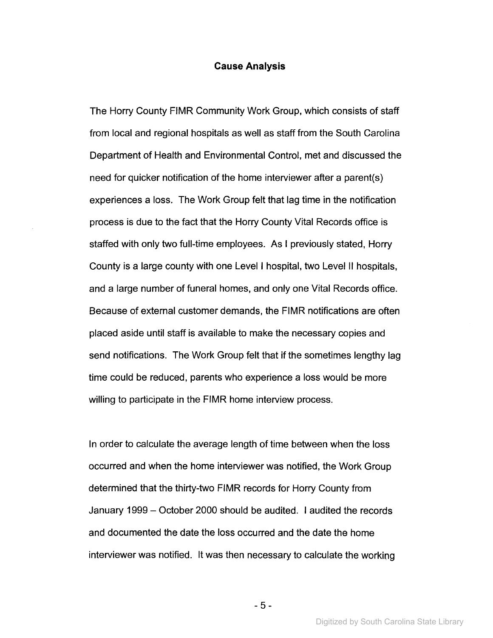#### **Cause Analysis**

The Horry County FIMR Community Work Group, which consists of staff from local and regional hospitals as well as staff from the South Carolina Department of Health and Environmental Control, met and discussed the need for quicker notification of the home interviewer after a parent(s) experiences a loss. The Work Group felt that lag time in the notification process is due to the fact that the Horry County Vital Records office is staffed with only two full-time employees. As I previously stated, Horry County is a large county with one Levell hospital, two Levell! hospitals, and a large number of funeral homes, and only one Vital Records office. Because of external customer demands, the FIMR notifications are often placed aside until staff is available to make the necessary copies and send notifications. The Work Group felt that if the sometimes lengthy lag time could be reduced, parents who experience a loss would be more willing to participate in the FIMR home interview process.

In order to calculate the average length of time between when the loss occurred and when the home interviewer was notified, the Work Group determined that the thirty-two FIMR records for Horry County from January 1999 - October 2000 should be audited. I audited the records and documented the date the loss occurred and the date the home interviewer was notified. It was then necessary to calculate the working

- 5 -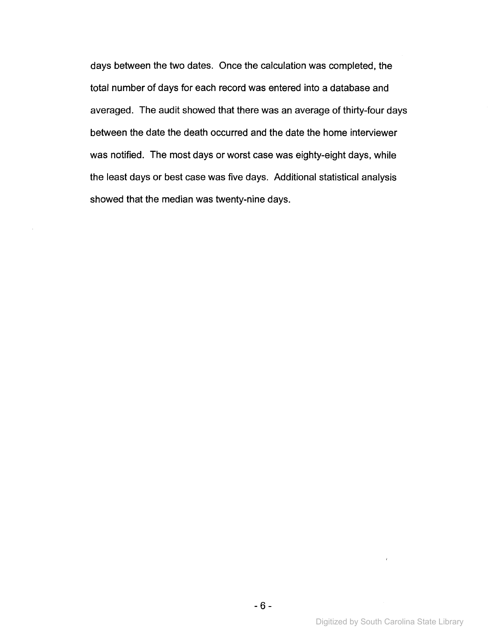days between the two dates. Once the calculation was completed, the total number of days for each record was entered into a database and averaged. The audit showed that there was an average of thirty-four days between the date the death occurred and the date the home interviewer was notified. The most days or worst case was eighty-eight days, while the least days or best case was five days. Additional statistical analysis showed that the median was twenty-nine days.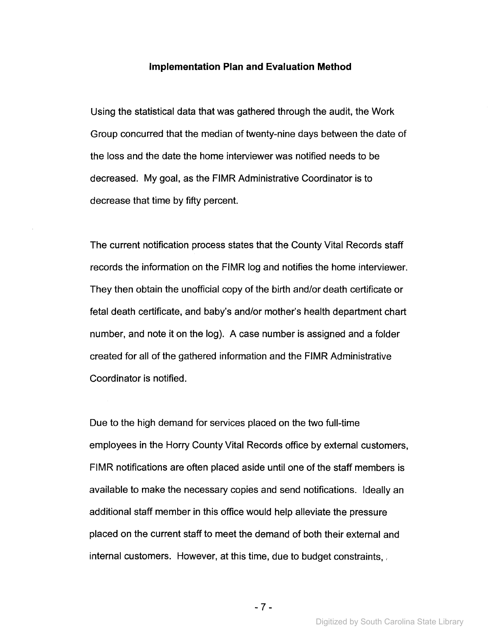#### **Implementation Plan and Evaluation Method**

Using the statistical data that was gathered through the audit, the Work Group concurred that the median of twenty-nine days between the date of the loss and the date the home interviewer was notified needs to be decreased. My goal, as the FIMR Administrative Coordinator is to decrease that time by fifty percent.

The current notification process states that the County Vital Records staff records the information on the FIMR log and notifies the home interviewer. They then obtain the unofficial copy of the birth and/or death certificate or fetal death certificate, and baby's and/or mother's health department chart number, and note it on the log). A case number is assigned and a folder created for all of the gathered information and the FIMR Administrative Coordinator is notified.

Due to the high demand for services placed on the two full-time employees in the Horry County Vital Records office by external customers, FIMR notifications are often placed aside until one of the staff members is available to make the necessary copies and send notifications. Ideally an additional staff member in this office would help alleviate the pressure placed on the current staff to meet the demand of both their external and internal customers. However, at this time, due to budget constraints,

Digitized by South Carolina State Library

- 7 -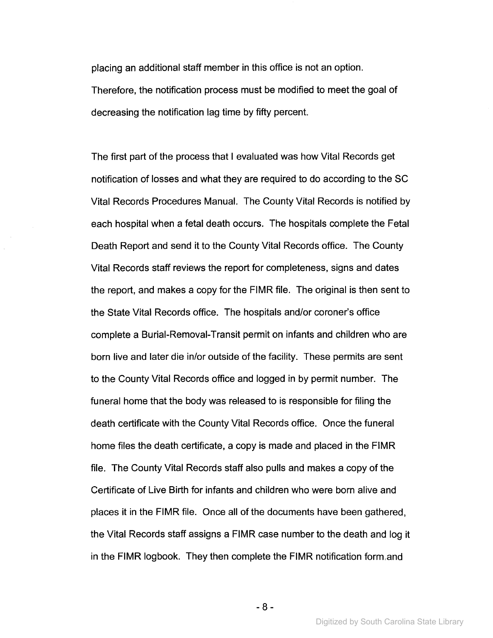placing an additional staff member in this office is not an option. Therefore, the notification process must be modified to meet the goal of decreasing the notification lag time by fifty percent.

The first part of the process that I evaluated was how Vital Records get notification of losses and what they are required to do according to the SC Vital Records Procedures Manual. The County Vital Records is notified by each hospital when a fetal death occurs. The hospitals complete the Fetal Death Report and send it to the County Vital Records office. The County Vital Records staff reviews the report for completeness, signs and dates the report, and makes a copy for the FIMR file. The original is then sent to the State Vital Records office. The hospitals and/or coroner's office complete a Burial-Removal-Transit permit on infants and children who are born live and later die in/or outside of the facility. These permits are sent to the County Vital Records office and logged in by permit number. The funeral home that the body was released to is responsible for filing the death certificate with the County Vital Records office. Once the funeral home files the death certificate, a copy is made and placed in the FIMR file. The County Vital Records staff also pulls and makes a copy of the Certificate of Live Birth for infants and children who were born alive and places it in the FIMR file. Once all of the documents have been gathered, the Vital Records staff assigns a FIMR case number to the death and log it in the FIMR logbook. They then complete the FIMR notification form,and

- 8 -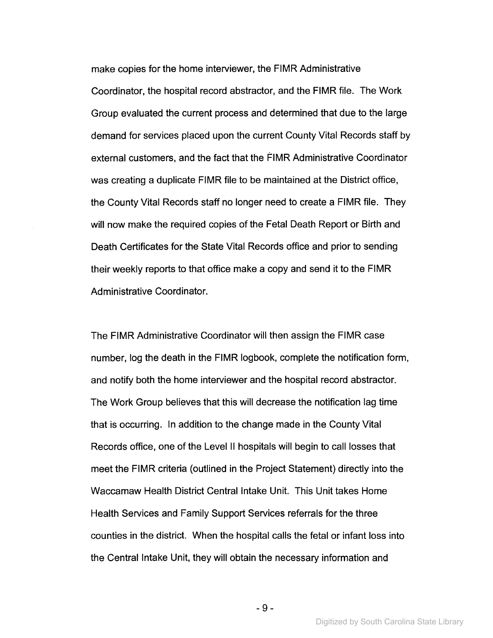make copies for the home interviewer, the FIMR Administrative Coordinator, the hospital record abstractor, and the FIMR file. The Work Group evaluated the current process and determined that due to the large demand for services placed upon the current County Vital Records staff by external customers, and the fact that the FIMR Administrative Coordinator was creating a duplicate FIMR file to be maintained at the District office, the County Vital Records staff no longer need to create a FIMR file. They will now make the required copies of the Fetal Death Report or Birth and Death Certificates for the State Vital Records office and prior to sending their weekly reports to that office make a copy and send it to the FIMR Administrative Coordinator.

The FIMR Administrative Coordinator will then assign the FIMR case number, log the death in the FIMR logbook, complete the notification form, and notify both the home interviewer and the hospital record abstractor. The Work Group believes that this will decrease the notification lag time that is occurring. In addition to the change made in the County Vital Records office, one of the Level II hospitals will begin to call losses that meet the FIMR criteria (outlined in the Project Statement) directly into the Waccamaw Health District Central Intake Unit. This Unit takes Home Health Services and Family Support Services referrals for the three counties in the district. When the hospital calls the fetal or infant loss into the Central Intake Unit, they will obtain the necessary information and

- 9 -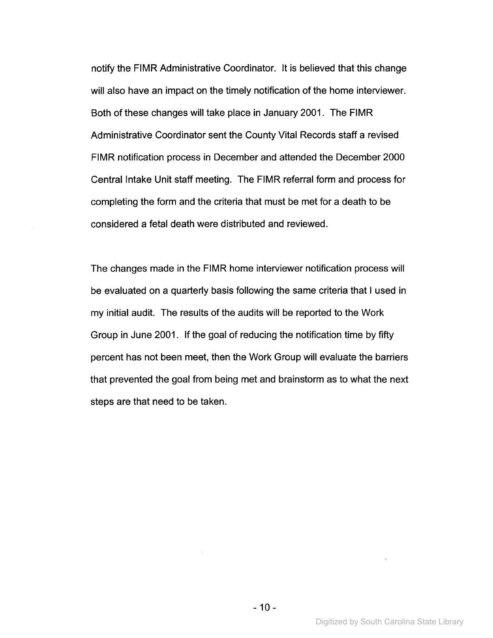notify the FIMR Administrative Coordinator. It is believed that this change will also have an impact on the timely notification of the home interviewer. Both of these changes will take place in January 2001. The FIMR Administrative Coordinator sent the County Vital Records staff a revised FIMR notification process in December and attended the December 2000 Central Intake Unit staff meeting. The FIMR referral form and process for completing the form and the criteria that must be met for a death to be considered a fetal death were distributed and reviewed.

The changes made in the FIMR home interviewer notification process will be evaluated on a quarterly basis following the same criteria that I used in my initial audit. The results of the audits will be reported to the Work Group in June 2001. If the goal of reducing the notification time by fifty percent has not been meet, then the Work Group will evaluate the barriers that prevented the goal from being met and brainstorm as to what the next steps are that need to be taken.